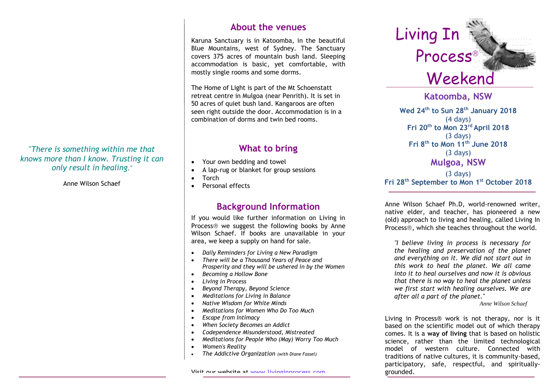"*There is something within me that knows more than I know. Trusting it can only result in healing."*

Anne Wilson Schaef

### **About the venues**

Karuna Sanctuary is in Katoomba, in the beautiful Blue Mountains, west of Sydney. The Sanctuary covers 375 acres of mountain bush land. Sleeping accommodation is basic, yet comfortable, with mostly single rooms and some dorms.

The Home of Light is part of the Mt Schoenstatt retreat centre in Mulgoa (near Penrith). It is set in 50 acres of quiet bush land. Kangaroos are often seen right outside the door. Accommodation is in a combination of dorms and twin bed rooms.

# **What to bring**

- Your own bedding and towel
- A lap-rug or blanket for group sessions
- Torch
- Personal effects

## **Background Information**

If you would like further information on Living in Process<sup>®</sup> we suggest the following books by Anne Wilson Schaef. If books are unavailable in your area, we keep a supply on hand for sale.

- *Daily Reminders for Living a New Paradigm*
- *There will be a Thousand Years of Peace and Prosperity and they will be ushered in by the Women*
- *Becoming a Hollow Bone*
- *Living in Process*
- *Beyond Therapy, Beyond Science*
- *Meditations for Living in Balance*
- *Native Wisdom for White Minds*
- *Meditations for Women Who Do Too Much*
- *Escape from Intimacy*
- *When Society Becomes an Addict*
- *Codependence Misunderstood, Mistreated*
- *Meditations for People Who (May) Worry Too Much*
- *Women's Reality*
- *The Addictive Organization (with Diane Fassel)*



**Katoomba, NSW**

**Karuna Sanctuary Wed 24th to Sun 28th January 2018** (4 days) **Fri 20th to Mon 23rd April 2018** (3 days) **Fri 8th to Mon 11 th June 2018** (3 days) **Mulgoa, NSW**

### (3 days) **Fri 28 th September to Mon 1st October 2018**

Anne Wilson Schaef Ph.D, world-renowned writer, native elder, and teacher, has pioneered a new (old) approach to living and healing, called Living In Process®, which she teaches throughout the world.

*"I believe living in process is necessary for the healing and preservation of the planet and everything on it. We did not start out in this work to heal the planet. We all came into it to heal ourselves and now it is obvious that there is no way to heal the planet unless we first start with healing ourselves. We are after all a part of the planet."* 

*Anne Wilson Schaef*

Living in Process® work is not therapy, nor is it based on the scientific model out of which therapy comes. It is a **way of living** that is based on holistic science, rather than the limited technological model of western culture. Connected with traditions of native cultures, it is community-based, participatory, safe, respectful, and spirituallygrounded.